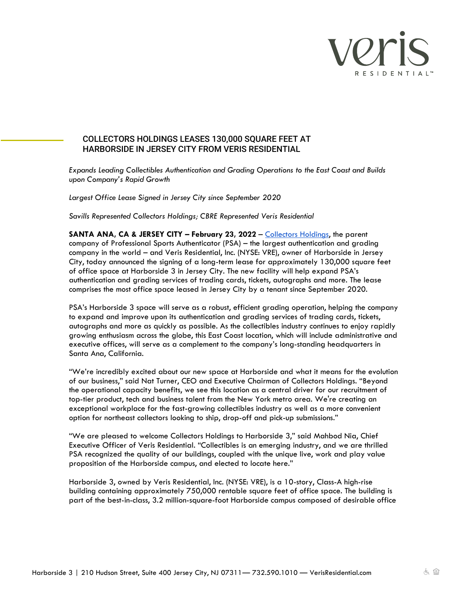

# COLLECTORS HOLDINGS LEASES 130,000 SQUARE FEET AT HARBORSIDE IN JERSEY CITY FROM VERIS RESIDENTIAL

*Expands Leading Collectibles Authentication and Grading Operations to the East Coast and Builds upon Company's Rapid Growth*

*Largest Office Lease Signed in Jersey City since September 2020* 

*Savills Represented Collectors Holdings; CBRE Represented Veris Residential* 

**SANTA ANA, CA & JERSEY CITY – February 23, 2022** – [Collectors Holdings,](https://www.collectorsuniverse.com/) the parent company of Professional Sports Authenticator (PSA) – the largest authentication and grading company in the world – and Veris Residential, Inc. (NYSE: VRE), owner of Harborside in Jersey City, today announced the signing of a long-term lease for approximately 130,000 square feet of office space at Harborside 3 in Jersey City. The new facility will help expand PSA's authentication and grading services of trading cards, tickets, autographs and more. The lease comprises the most office space leased in Jersey City by a tenant since September 2020.

PSA's Harborside 3 space will serve as a robust, efficient grading operation, helping the company to expand and improve upon its authentication and grading services of trading cards, tickets, autographs and more as quickly as possible. As the collectibles industry continues to enjoy rapidly growing enthusiasm across the globe, this East Coast location, which will include administrative and executive offices, will serve as a complement to the company's long-standing headquarters in Santa Ana, California.

"We're incredibly excited about our new space at Harborside and what it means for the evolution of our business," said Nat Turner, CEO and Executive Chairman of Collectors Holdings. "Beyond the operational capacity benefits, we see this location as a central driver for our recruitment of top-tier product, tech and business talent from the New York metro area. We're creating an exceptional workplace for the fast-growing collectibles industry as well as a more convenient option for northeast collectors looking to ship, drop-off and pick-up submissions."

"We are pleased to welcome Collectors Holdings to Harborside 3," said Mahbod Nia, Chief Executive Officer of Veris Residential. "Collectibles is an emerging industry, and we are thrilled PSA recognized the quality of our buildings, coupled with the unique live, work and play value proposition of the Harborside campus, and elected to locate here."

Harborside 3, owned by Veris Residential, Inc. (NYSE: VRE), is a 10-story, Class-A high-rise building containing approximately 750,000 rentable square feet of office space. The building is part of the best-in-class, 3.2 million-square-foot Harborside campus composed of desirable office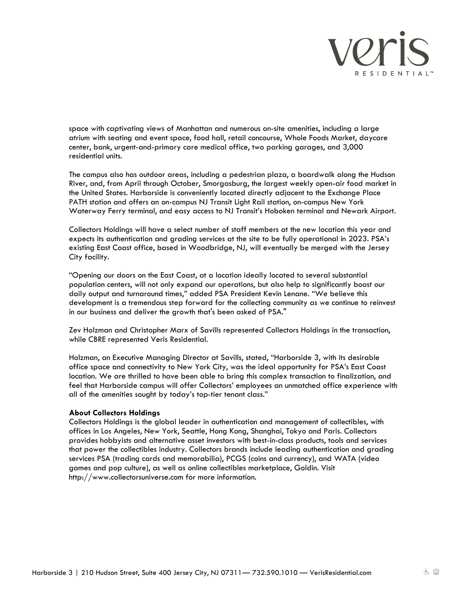

space with captivating views of Manhattan and numerous on-site amenities, including a large atrium with seating and event space, food hall, retail concourse, Whole Foods Market, daycare center, bank, urgent-and-primary care medical office, two parking garages, and 3,000 residential units.

The campus also has outdoor areas, including a pedestrian plaza, a boardwalk along the Hudson River, and, from April through October, Smorgasburg, the largest weekly open-air food market in the United States. Harborside is conveniently located directly adjacent to the Exchange Place PATH station and offers an on-campus NJ Transit Light Rail station, on-campus New York Waterway Ferry terminal, and easy access to NJ Transit's Hoboken terminal and Newark Airport.

Collectors Holdings will have a select number of staff members at the new location this year and expects its authentication and grading services at the site to be fully operational in 2023. PSA's existing East Coast office, based in Woodbridge, NJ, will eventually be merged with the Jersey City facility.

"Opening our doors on the East Coast, at a location ideally located to several substantial population centers, will not only expand our operations, but also help to significantly boost our daily output and turnaround times," added PSA President Kevin Lenane. "We believe this development is a tremendous step forward for the collecting community as we continue to reinvest in our business and deliver the growth that's been asked of PSA."

Zev Holzman and Christopher Marx of Savills represented Collectors Holdings in the transaction, while CBRE represented Veris Residential.

Holzman, an Executive Managing Director at Savills, stated, "Harborside 3, with its desirable office space and connectivity to New York City, was the ideal opportunity for PSA's East Coast location. We are thrilled to have been able to bring this complex transaction to finalization, and feel that Harborside campus will offer Collectors' employees an unmatched office experience with all of the amenities sought by today's top-tier tenant class."

# **About Collectors Holdings**

Collectors Holdings is the global leader in authentication and management of collectibles, with offices in Los Angeles, New York, Seattle, Hong Kong, Shanghai, Tokyo and Paris. Collectors provides hobbyists and alternative asset investors with best-in-class products, tools and services that power the collectibles industry. Collectors brands include leading authentication and grading services PSA (trading cards and memorabilia), PCGS (coins and currency), and WATA (video games and pop culture), as well as online collectibles marketplace, Goldin. Visit http://www.collectorsuniverse.com for more information.